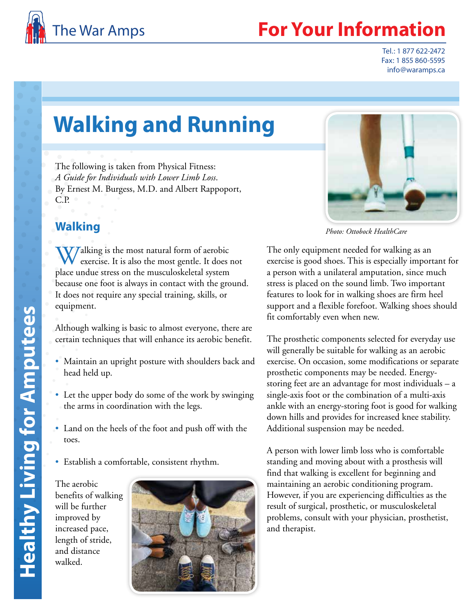

## **Your Information**

Tel.: 1 877 622-2472 Fax: 1 855 860-5595 info@waramps.ca

# **Walking and Running**

The following is taken from Physical Fitness: *A Guide for Individuals with Lower Limb Loss*. By Ernest M. Burgess, M.D. and Albert Rappoport, C.P.

## **Walking**

**W** Jalking is the most natural form of aerobic exercise. It is also the most gentle. It does not place undue stress on the musculoskeletal system because one foot is always in contact with the ground. It does not require any special training, skills, or equipment.

Although walking is basic to almost everyone, there are certain techniques that will enhance its aerobic benefit.

- Maintain an upright posture with shoulders back and head held up.
- Let the upper body do some of the work by swinging the arms in coordination with the legs.
- Land on the heels of the foot and push off with the toes.
- Establish a comfortable, consistent rhythm.

The aerobic benefits of walking will be further improved by increased pace, length of stride, and distance walked.





*Photo: Ottobock HealthCare*

The only equipment needed for walking as an exercise is good shoes. This is especially important for a person with a unilateral amputation, since much stress is placed on the sound limb. Two important features to look for in walking shoes are firm heel support and a flexible forefoot. Walking shoes should fit comfortably even when new.

The prosthetic components selected for everyday use will generally be suitable for walking as an aerobic exercise. On occasion, some modifications or separate prosthetic components may be needed. Energystoring feet are an advantage for most individuals – a single-axis foot or the combination of a multi -axis ankle with an energy-storing foot is good for walking down hills and provides for increased knee stability. Additional suspension may be needed.

A person with lower limb loss who is comfortable standing and moving about with a prosthesis will find that walking is excellent for beginning and maintaining an aerobic conditioning program. However, if you are experiencing difficulties as the result of surgical, prosthetic, or musculoskeletal problems, consult with your physician, prosthetist, and therapist.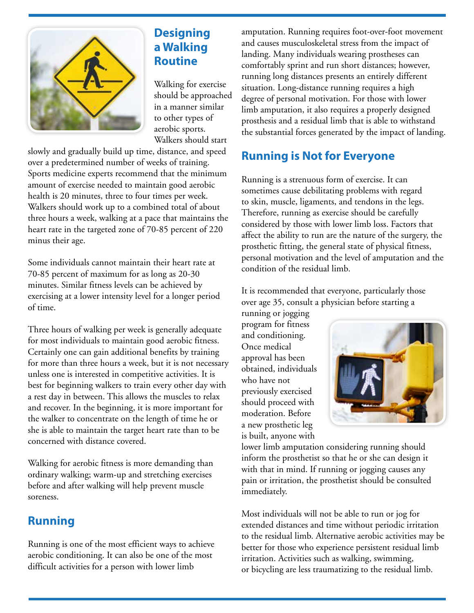

## **Designing a Walking Routine**

Walking for exercise should be approached in a manner similar to other types of aerobic sports. Walkers should start

slowly and gradually build up time, distance, and speed over a predetermined number of weeks of training. Sports medicine experts recommend that the minimum amount of exercise needed to maintain good aerobic health is 20 minutes, three to four times per week. Walkers should work up to a combined total of about three hours a week, walking at a pace that maintains the heart rate in the targeted zone of 70-85 percent of 220 minus their age.

Some individuals cannot maintain their heart rate at 70-85 percent of maximum for as long as 20-30 minutes. Similar fitness levels can be achieved by exercising at a lower intensity level for a longer period of time.

Three hours of walking per week is generally adequate for most individuals to maintain good aerobic fitness. Certainly one can gain additional benefits by training for more than three hours a week, but it is not necessary unless one is interested in competitive activities. It is best for beginning walkers to train every other day with a rest day in between. This allows the muscles to relax and recover. In the beginning, it is more important for the walker to concentrate on the length of time he or she is able to maintain the target heart rate than to be concerned with distance covered.

Walking for aerobic fitness is more demanding than ordinary walking; warm-up and stretching exercises before and after walking will help prevent muscle soreness.

#### **Running**

Running is one of the most efficient ways to achieve aerobic conditioning. It can also be one of the most difficult activities for a person with lower limb

amputation. Running requires foot-over-foot movement and causes musculoskeletal stress from the impact of landing. Many individuals wearing prostheses can comfortably sprint and run short distances; however, running long distances presents an entirely different situation. Long-distance running requires a high degree of personal motivation. For those with lower limb amputation, it also requires a properly designed prosthesis and a residual limb that is able to withstand the substantial forces generated by the impact of landing.

## **Running is Not for Everyone**

Running is a strenuous form of exercise. It can sometimes cause debilitating problems with regard to skin, muscle, ligaments, and tendons in the legs. Therefore, running as exercise should be carefully considered by those with lower limb loss. Factors that affect the ability to run are the nature of the surgery, the prosthetic fitting, the general state of physical fitness, personal motivation and the level of amputation and the condition of the residual limb.

It is recommended that everyone, particularly those over age 35, consult a physician before starting a

running or jogging program for fitness and conditioning. Once medical approval has been obtained, individuals who have not previously exercised should proceed with moderation. Before a new prosthetic leg is built, anyone with



lower limb amputation considering running should inform the prosthetist so that he or she can design it with that in mind. If running or jogging causes any pain or irritation, the prosthetist should be consulted immediately.

Most individuals will not be able to run or jog for extended distances and time without periodic irritation to the residual limb. Alternative aerobic activities may be better for those who experience persistent residual limb irritation. Activities such as walking, swimming, or bicycling are less traumatizing to the residual limb.